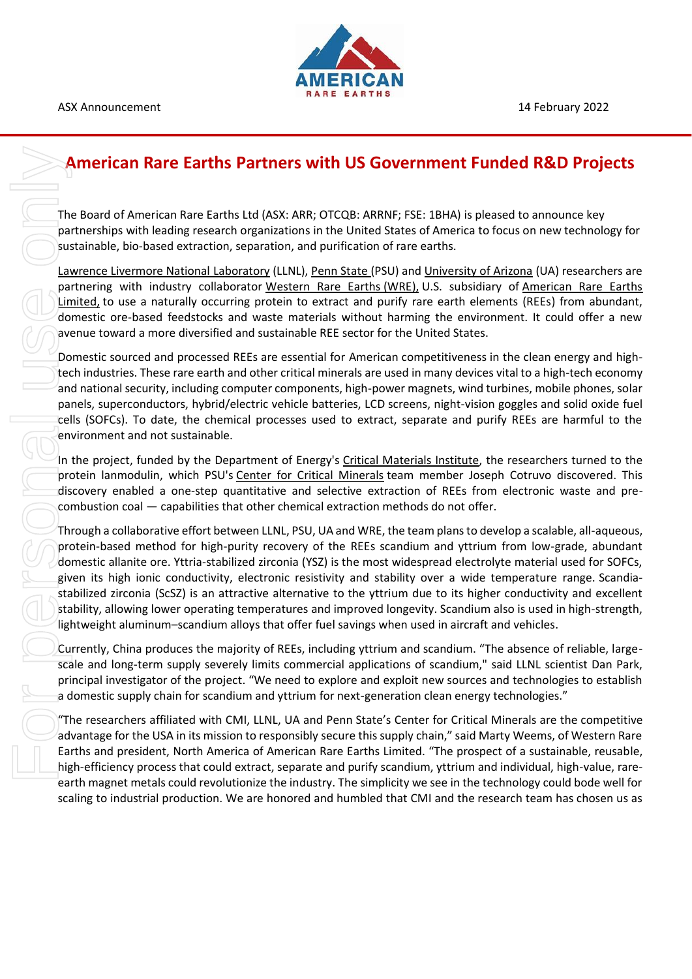

ASX Announcement 14 February 2022

## **American Rare Earths Partners with US Government Funded R&D Projects**

The Board of American Rare Earths Ltd (ASX: ARR; OTCQB: ARRNF; FSE: 1BHA) is pleased to announce key partnerships with leading research organizations in the United States of America to focus on new technology for sustainable, bio-based extraction, separation, and purification of rare earths.

[Lawrence Livermore National](http://www.llnl.gov/) Laboratory (LLNL), [Penn State](https://www.psu.edu/) (PSU) and [University of Arizona](https://www.arizona.edu/) (UA) researchers are partnering with industry collaborator [Western Rare Earths](https://westernrareearths.com/) (WRE), U.S. subsidiary of American Rare Earths [Limited,](https://americanrareearths.com.au/) to use a naturally occurring protein to extract and purify rare earth elements (REEs) from abundant, domestic ore-based feedstocks and waste materials without harming the environment. It could offer a new avenue toward a more diversified and sustainable REE sector for the United States.

Domestic sourced and processed REEs are essential for American competitiveness in the clean energy and hightech industries. These rare earth and other critical minerals are used in many devices vital to a high-tech economy and national security, including computer components, high-power magnets, wind turbines, mobile phones, solar panels, superconductors, hybrid/electric vehicle batteries, LCD screens, night-vision goggles and solid oxide fuel cells (SOFCs). To date, the chemical processes used to extract, separate and purify REEs are harmful to the environment and not sustainable.

In the project, funded by the Department of Energy's [Critical Materials Institute,](https://www.ameslab.gov/cmi) the researchers turned to the protein lanmodulin, which PSU's [Center for Critical Minerals](https://www.psu.edu/news/research/story/penn-state-launches-center-critical-minerals/) team member Joseph Cotruvo discovered. This discovery enabled a one-step quantitative and selective extraction of REEs from electronic waste and precombustion coal — capabilities that other chemical extraction methods do not offer.

Through a collaborative effort between LLNL, PSU, UA and WRE, the team plans to develop a scalable, all-aqueous, protein-based method for high-purity recovery of the REEs scandium and yttrium from low-grade, abundant domestic allanite ore. Yttria-stabilized zirconia (YSZ) is the most widespread electrolyte material used for SOFCs, given its high ionic conductivity, electronic resistivity and stability over a wide temperature range. Scandiastabilized zirconia (ScSZ) is an attractive alternative to the yttrium due to its higher conductivity and excellent stability, allowing lower operating temperatures and improved longevity. Scandium also is used in high-strength, lightweight aluminum–scandium alloys that offer fuel savings when used in aircraft and vehicles.

Currently, China produces the majority of REEs, including yttrium and scandium. "The absence of reliable, largescale and long-term supply severely limits commercial applications of scandium," said LLNL scientist Dan Park, principal investigator of the project. "We need to explore and exploit new sources and technologies to establish a domestic supply chain for scandium and yttrium for next-generation clean energy technologies."

"The researchers affiliated with CMI, LLNL, UA and Penn State's Center for Critical Minerals are the competitive advantage for the USA in its mission to responsibly secure this supply chain," said Marty Weems, of Western Rare Earths and president, North America of American Rare Earths Limited. "The prospect of a sustainable, reusable, high-efficiency process that could extract, separate and purify scandium, yttrium and individual, high-value, rareearth magnet metals could revolutionize the industry. The simplicity we see in the technology could bode well for scaling to industrial production. We are honored and humbled that CMI and the research team has chosen us as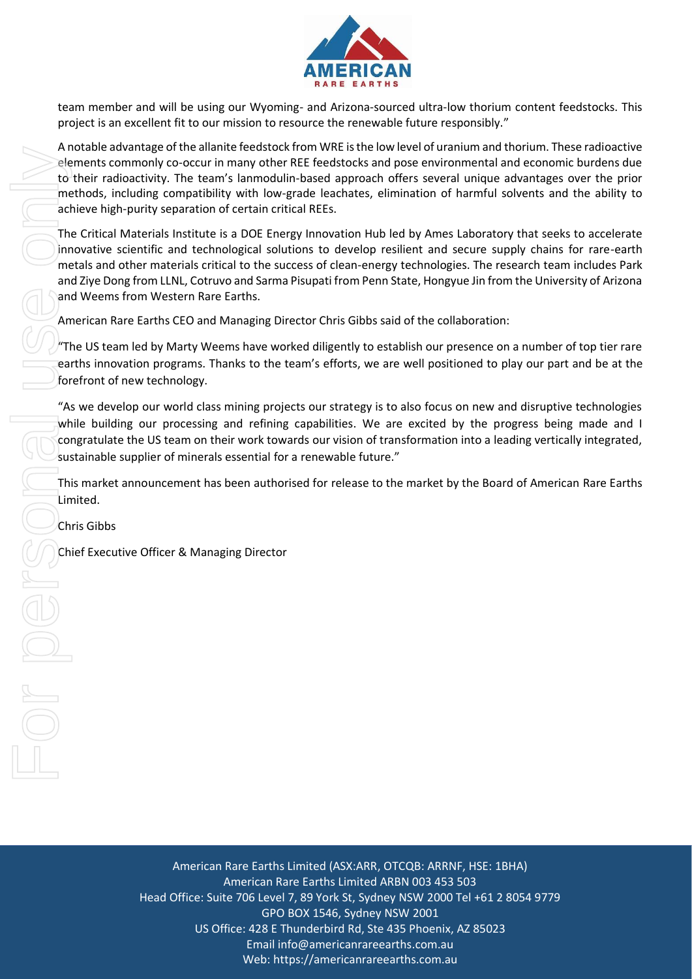

team member and will be using our Wyoming- and Arizona-sourced ultra-low thorium content feedstocks. This project is an excellent fit to our mission to resource the renewable future responsibly."

A notable advantage of the allanite feedstock from WRE is the low level of uranium and thorium. These radioactive elements commonly co-occur in many other REE feedstocks and pose environmental and economic burdens due to their radioactivity. The team's lanmodulin-based approach offers several unique advantages over the prior methods, including compatibility with low-grade leachates, elimination of harmful solvents and the ability to achieve high-purity separation of certain critical REEs.

The Critical Materials Institute is a DOE Energy Innovation Hub led by Ames Laboratory that seeks to accelerate innovative scientific and technological solutions to develop resilient and secure supply chains for rare-earth metals and other materials critical to the success of clean-energy technologies. The research team includes Park and Ziye Dong from LLNL, Cotruvo and Sarma Pisupati from Penn State, Hongyue Jin from the University of Arizona and Weems from Western Rare Earths.

American Rare Earths CEO and Managing Director Chris Gibbs said of the collaboration:

"The US team led by Marty Weems have worked diligently to establish our presence on a number of top tier rare earths innovation programs. Thanks to the team's efforts, we are well positioned to play our part and be at the forefront of new technology.

"As we develop our world class mining projects our strategy is to also focus on new and disruptive technologies while building our processing and refining capabilities. We are excited by the progress being made and I congratulate the US team on their work towards our vision of transformation into a leading vertically integrated, sustainable supplier of minerals essential for a renewable future."

This market announcement has been authorised for release to the market by the Board of American Rare Earths Limited.

Chris Gibbs

American Rare Earths Limited (ASX:ARR, OTCQB: ARRNF, HSE: 1BHA) American Rare Earths Limited ARBN 003 453 503 Head Office: Suite 706 Level 7, 89 York St, Sydney NSW 2000 Tel +61 2 8054 9779 GPO BOX 1546, Sydney NSW 2001 US Office: 428 E Thunderbird Rd, Ste 435 Phoenix, AZ 85023 Email info@americanrareearths.com.au Web: https://americanrareearths.com.au